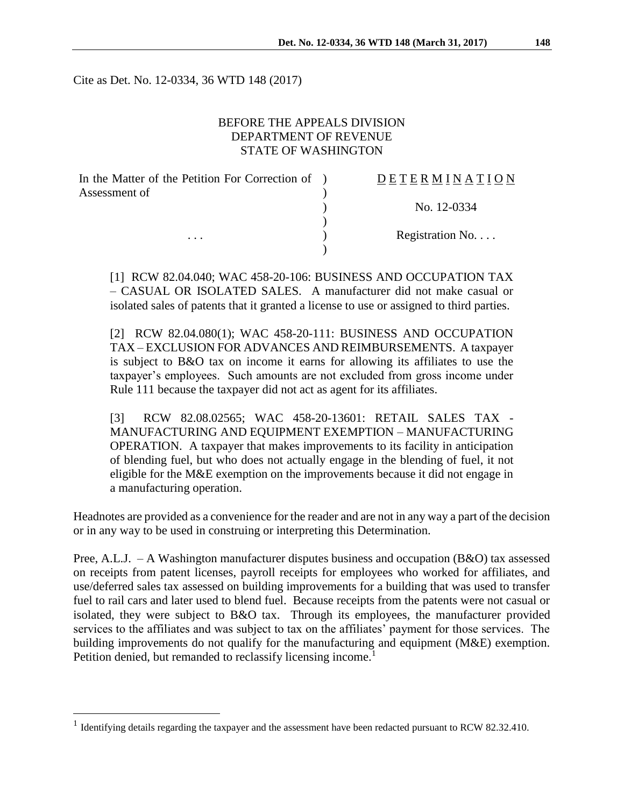Cite as Det. No. 12-0334, 36 WTD 148 (2017)

## BEFORE THE APPEALS DIVISION DEPARTMENT OF REVENUE STATE OF WASHINGTON

| In the Matter of the Petition For Correction of ) | DETERMINATION   |
|---------------------------------------------------|-----------------|
| Assessment of                                     |                 |
|                                                   | No. 12-0334     |
|                                                   |                 |
| $\cdots$                                          | Registration No |
|                                                   |                 |

[1] RCW 82.04.040; WAC 458-20-106: BUSINESS AND OCCUPATION TAX – CASUAL OR ISOLATED SALES. A manufacturer did not make casual or isolated sales of patents that it granted a license to use or assigned to third parties.

[2] RCW 82.04.080(1); WAC 458-20-111: BUSINESS AND OCCUPATION TAX – EXCLUSION FOR ADVANCES AND REIMBURSEMENTS. A taxpayer is subject to B&O tax on income it earns for allowing its affiliates to use the taxpayer's employees. Such amounts are not excluded from gross income under Rule 111 because the taxpayer did not act as agent for its affiliates.

[3] RCW 82.08.02565; WAC 458-20-13601: RETAIL SALES TAX - MANUFACTURING AND EQUIPMENT EXEMPTION – MANUFACTURING OPERATION. A taxpayer that makes improvements to its facility in anticipation of blending fuel, but who does not actually engage in the blending of fuel, it not eligible for the M&E exemption on the improvements because it did not engage in a manufacturing operation.

Headnotes are provided as a convenience for the reader and are not in any way a part of the decision or in any way to be used in construing or interpreting this Determination.

Pree, A.L.J. – A Washington manufacturer disputes business and occupation (B&O) tax assessed on receipts from patent licenses, payroll receipts for employees who worked for affiliates, and use/deferred sales tax assessed on building improvements for a building that was used to transfer fuel to rail cars and later used to blend fuel. Because receipts from the patents were not casual or isolated, they were subject to B&O tax. Through its employees, the manufacturer provided services to the affiliates and was subject to tax on the affiliates' payment for those services. The building improvements do not qualify for the manufacturing and equipment (M&E) exemption. Petition denied, but remanded to reclassify licensing income.<sup>1</sup>

 $\overline{a}$ 

<sup>&</sup>lt;sup>1</sup> Identifying details regarding the taxpayer and the assessment have been redacted pursuant to RCW 82.32.410.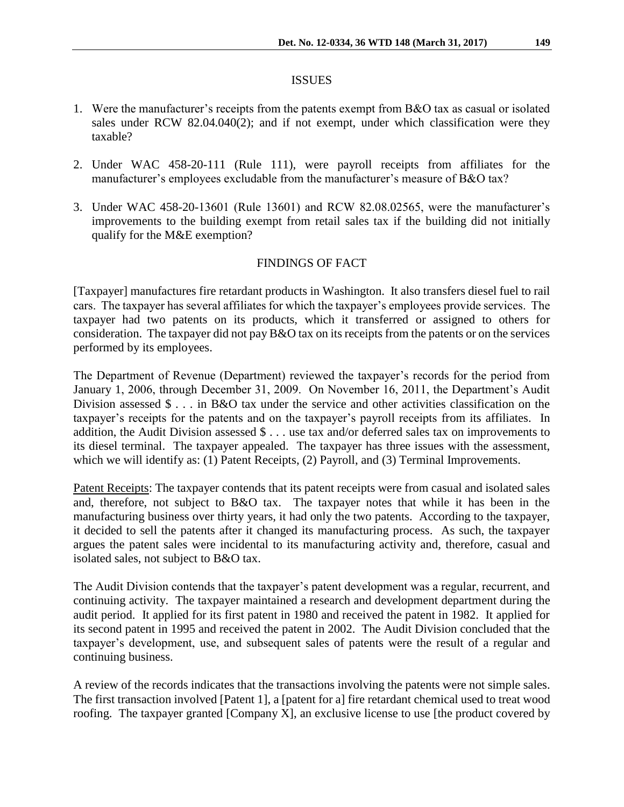### ISSUES

- 1. Were the manufacturer's receipts from the patents exempt from B&O tax as casual or isolated sales under RCW 82.04.040(2); and if not exempt, under which classification were they taxable?
- 2. Under WAC 458-20-111 (Rule 111), were payroll receipts from affiliates for the manufacturer's employees excludable from the manufacturer's measure of B&O tax?
- 3. Under WAC 458-20-13601 (Rule 13601) and RCW 82.08.02565, were the manufacturer's improvements to the building exempt from retail sales tax if the building did not initially qualify for the M&E exemption?

# FINDINGS OF FACT

[Taxpayer] manufactures fire retardant products in Washington. It also transfers diesel fuel to rail cars. The taxpayer has several affiliates for which the taxpayer's employees provide services. The taxpayer had two patents on its products, which it transferred or assigned to others for consideration. The taxpayer did not pay B&O tax on its receipts from the patents or on the services performed by its employees.

The Department of Revenue (Department) reviewed the taxpayer's records for the period from January 1, 2006, through December 31, 2009. On November 16, 2011, the Department's Audit Division assessed \$ . . . in B&O tax under the service and other activities classification on the taxpayer's receipts for the patents and on the taxpayer's payroll receipts from its affiliates. In addition, the Audit Division assessed \$ . . . use tax and/or deferred sales tax on improvements to its diesel terminal. The taxpayer appealed. The taxpayer has three issues with the assessment, which we will identify as: (1) Patent Receipts, (2) Payroll, and (3) Terminal Improvements.

Patent Receipts: The taxpayer contends that its patent receipts were from casual and isolated sales and, therefore, not subject to B&O tax. The taxpayer notes that while it has been in the manufacturing business over thirty years, it had only the two patents. According to the taxpayer, it decided to sell the patents after it changed its manufacturing process. As such, the taxpayer argues the patent sales were incidental to its manufacturing activity and, therefore, casual and isolated sales, not subject to B&O tax.

The Audit Division contends that the taxpayer's patent development was a regular, recurrent, and continuing activity. The taxpayer maintained a research and development department during the audit period. It applied for its first patent in 1980 and received the patent in 1982. It applied for its second patent in 1995 and received the patent in 2002. The Audit Division concluded that the taxpayer's development, use, and subsequent sales of patents were the result of a regular and continuing business.

A review of the records indicates that the transactions involving the patents were not simple sales. The first transaction involved [Patent 1], a [patent for a] fire retardant chemical used to treat wood roofing. The taxpayer granted [Company X], an exclusive license to use [the product covered by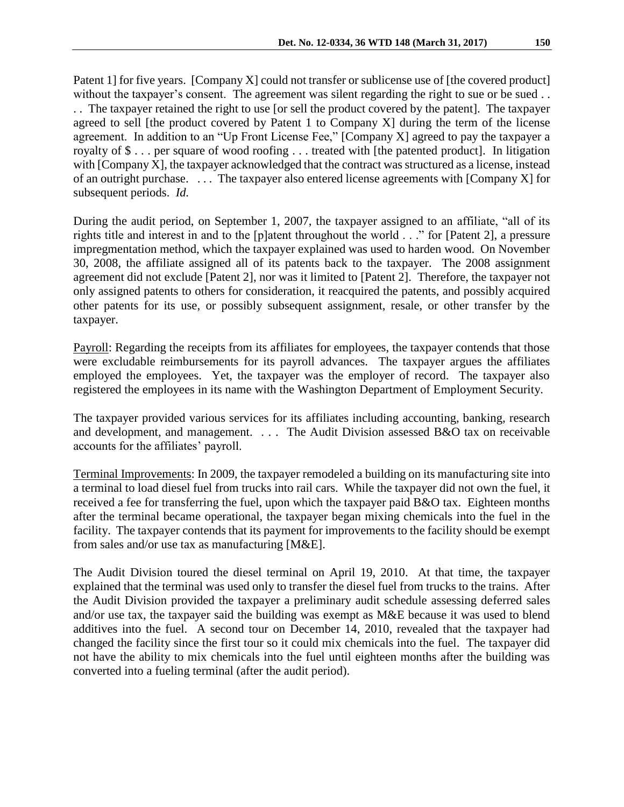Patent 1] for five years. [Company X] could not transfer or sublicense use of [the covered product] without the taxpayer's consent. The agreement was silent regarding the right to sue or be sued.. . . The taxpayer retained the right to use [or sell the product covered by the patent]. The taxpayer agreed to sell [the product covered by Patent 1 to Company X] during the term of the license agreement. In addition to an "Up Front License Fee," [Company X] agreed to pay the taxpayer a royalty of \$ . . . per square of wood roofing . . . treated with [the patented product]. In litigation with [Company X], the taxpayer acknowledged that the contract was structured as a license, instead of an outright purchase. . . . The taxpayer also entered license agreements with [Company X] for subsequent periods. *Id.*

During the audit period, on September 1, 2007, the taxpayer assigned to an affiliate, "all of its rights title and interest in and to the [p]atent throughout the world . . ." for [Patent 2], a pressure impregmentation method, which the taxpayer explained was used to harden wood. On November 30, 2008, the affiliate assigned all of its patents back to the taxpayer. The 2008 assignment agreement did not exclude [Patent 2], nor was it limited to [Patent 2]. Therefore, the taxpayer not only assigned patents to others for consideration, it reacquired the patents, and possibly acquired other patents for its use, or possibly subsequent assignment, resale, or other transfer by the taxpayer.

Payroll: Regarding the receipts from its affiliates for employees, the taxpayer contends that those were excludable reimbursements for its payroll advances. The taxpayer argues the affiliates employed the employees. Yet, the taxpayer was the employer of record. The taxpayer also registered the employees in its name with the Washington Department of Employment Security.

The taxpayer provided various services for its affiliates including accounting, banking, research and development, and management. . . . The Audit Division assessed B&O tax on receivable accounts for the affiliates' payroll.

Terminal Improvements: In 2009, the taxpayer remodeled a building on its manufacturing site into a terminal to load diesel fuel from trucks into rail cars. While the taxpayer did not own the fuel, it received a fee for transferring the fuel, upon which the taxpayer paid B&O tax. Eighteen months after the terminal became operational, the taxpayer began mixing chemicals into the fuel in the facility. The taxpayer contends that its payment for improvements to the facility should be exempt from sales and/or use tax as manufacturing [M&E].

The Audit Division toured the diesel terminal on April 19, 2010. At that time, the taxpayer explained that the terminal was used only to transfer the diesel fuel from trucks to the trains. After the Audit Division provided the taxpayer a preliminary audit schedule assessing deferred sales and/or use tax, the taxpayer said the building was exempt as M&E because it was used to blend additives into the fuel. A second tour on December 14, 2010, revealed that the taxpayer had changed the facility since the first tour so it could mix chemicals into the fuel. The taxpayer did not have the ability to mix chemicals into the fuel until eighteen months after the building was converted into a fueling terminal (after the audit period).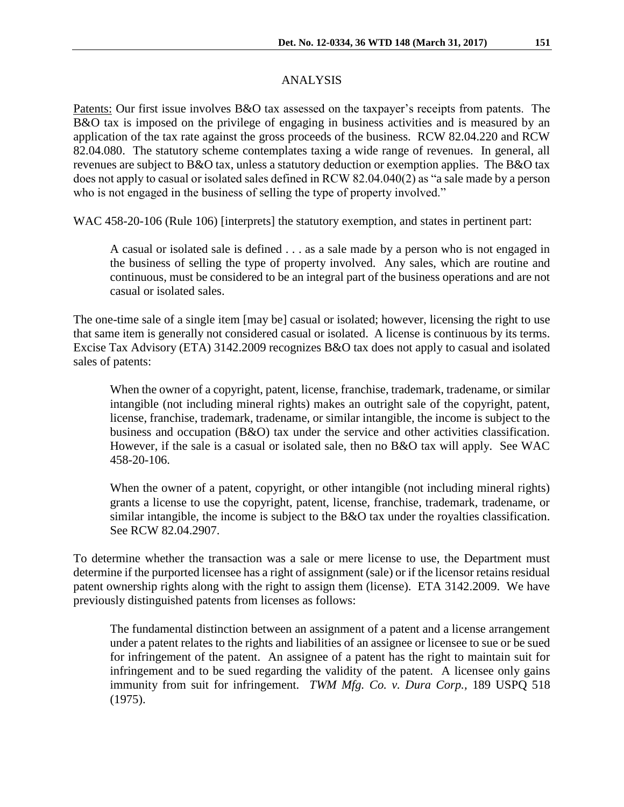#### ANALYSIS

Patents: Our first issue involves B&O tax assessed on the taxpayer's receipts from patents. The B&O tax is imposed on the privilege of engaging in business activities and is measured by an application of the tax rate against the gross proceeds of the business. RCW 82.04.220 and RCW 82.04.080. The statutory scheme contemplates taxing a wide range of revenues. In general, all revenues are subject to B&O tax, unless a statutory deduction or exemption applies. The B&O tax does not apply to casual or isolated sales defined in RCW 82.04.040(2) as "a sale made by a person who is not engaged in the business of selling the type of property involved."

WAC 458-20-106 (Rule 106) [interprets] the statutory exemption, and states in pertinent part:

A casual or isolated sale is defined . . . as a sale made by a person who is not engaged in the business of selling the type of property involved. Any sales, which are routine and continuous, must be considered to be an integral part of the business operations and are not casual or isolated sales.

The one-time sale of a single item [may be] casual or isolated; however, licensing the right to use that same item is generally not considered casual or isolated. A license is continuous by its terms. Excise Tax Advisory (ETA) 3142.2009 recognizes B&O tax does not apply to casual and isolated sales of patents:

When the owner of a copyright, patent, license, franchise, trademark, tradename, or similar intangible (not including mineral rights) makes an outright sale of the copyright, patent, license, franchise, trademark, tradename, or similar intangible, the income is subject to the business and occupation (B&O) tax under the service and other activities classification. However, if the sale is a casual or isolated sale, then no B&O tax will apply. See WAC 458-20-106.

When the owner of a patent, copyright, or other intangible (not including mineral rights) grants a license to use the copyright, patent, license, franchise, trademark, tradename, or similar intangible, the income is subject to the B&O tax under the royalties classification. See RCW 82.04.2907.

To determine whether the transaction was a sale or mere license to use, the Department must determine if the purported licensee has a right of assignment (sale) or if the licensor retains residual patent ownership rights along with the right to assign them (license). ETA 3142.2009. We have previously distinguished patents from licenses as follows:

The fundamental distinction between an assignment of a patent and a license arrangement under a patent relates to the rights and liabilities of an assignee or licensee to sue or be sued for infringement of the patent. An assignee of a patent has the right to maintain suit for infringement and to be sued regarding the validity of the patent. A licensee only gains immunity from suit for infringement. *TWM Mfg. Co. v. Dura Corp.,* 189 USPQ 518 (1975).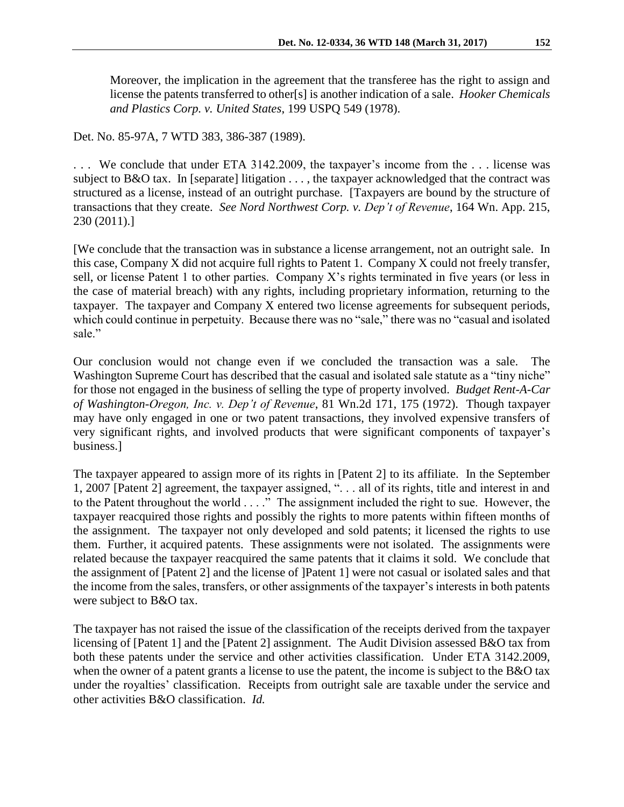Moreover, the implication in the agreement that the transferee has the right to assign and license the patents transferred to other[s] is another indication of a sale. *Hooker Chemicals and Plastics Corp. v. United States*, 199 USPQ 549 (1978).

Det. No. 85-97A, 7 WTD 383, 386-387 (1989).

. . . We conclude that under ETA 3142.2009, the taxpayer's income from the . . . license was subject to B&O tax. In [separate] litigation . . . , the taxpayer acknowledged that the contract was structured as a license, instead of an outright purchase. [Taxpayers are bound by the structure of transactions that they create. *See Nord Northwest Corp. v. Dep't of Revenue*, 164 Wn. App. 215, 230 (2011).]

[We conclude that the transaction was in substance a license arrangement, not an outright sale. In this case, Company X did not acquire full rights to Patent 1. Company X could not freely transfer, sell, or license Patent 1 to other parties. Company X's rights terminated in five years (or less in the case of material breach) with any rights, including proprietary information, returning to the taxpayer. The taxpayer and Company X entered two license agreements for subsequent periods, which could continue in perpetuity. Because there was no "sale," there was no "casual and isolated sale."

Our conclusion would not change even if we concluded the transaction was a sale. The Washington Supreme Court has described that the casual and isolated sale statute as a "tiny niche" for those not engaged in the business of selling the type of property involved. *Budget Rent-A-Car of Washington-Oregon, Inc. v. Dep't of Revenue*, 81 Wn.2d 171, 175 (1972). Though taxpayer may have only engaged in one or two patent transactions, they involved expensive transfers of very significant rights, and involved products that were significant components of taxpayer's business.]

The taxpayer appeared to assign more of its rights in [Patent 2] to its affiliate. In the September 1, 2007 [Patent 2] agreement, the taxpayer assigned, ". . . all of its rights, title and interest in and to the Patent throughout the world . . . ." The assignment included the right to sue. However, the taxpayer reacquired those rights and possibly the rights to more patents within fifteen months of the assignment. The taxpayer not only developed and sold patents; it licensed the rights to use them. Further, it acquired patents. These assignments were not isolated. The assignments were related because the taxpayer reacquired the same patents that it claims it sold. We conclude that the assignment of [Patent 2] and the license of ]Patent 1] were not casual or isolated sales and that the income from the sales, transfers, or other assignments of the taxpayer's interests in both patents were subject to B&O tax.

The taxpayer has not raised the issue of the classification of the receipts derived from the taxpayer licensing of [Patent 1] and the [Patent 2] assignment. The Audit Division assessed B&O tax from both these patents under the service and other activities classification. Under ETA 3142.2009, when the owner of a patent grants a license to use the patent, the income is subject to the B&O tax under the royalties' classification. Receipts from outright sale are taxable under the service and other activities B&O classification. *Id.*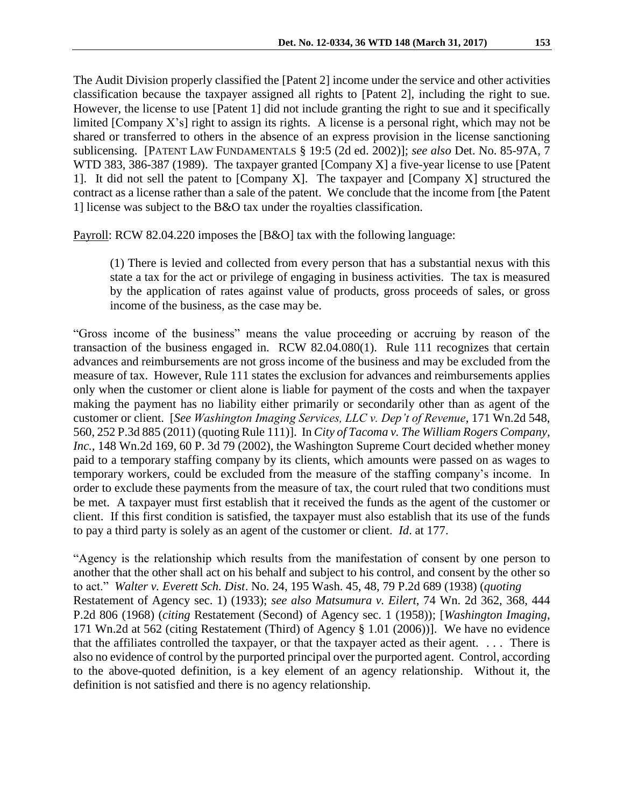The Audit Division properly classified the [Patent 2] income under the service and other activities classification because the taxpayer assigned all rights to [Patent 2], including the right to sue. However, the license to use [Patent 1] did not include granting the right to sue and it specifically limited [Company X's] right to assign its rights. A license is a personal right, which may not be shared or transferred to others in the absence of an express provision in the license sanctioning sublicensing. [PATENT LAW FUNDAMENTALS § 19:5 (2d ed. 2002)]; *see also* Det. No. 85-97A, 7 WTD 383, 386-387 (1989). The taxpayer granted [Company X] a five-year license to use [Patent 1]. It did not sell the patent to [Company X]. The taxpayer and [Company X] structured the contract as a license rather than a sale of the patent. We conclude that the income from [the Patent 1] license was subject to the B&O tax under the royalties classification.

Payroll: RCW 82.04.220 imposes the [B&O] tax with the following language:

(1) There is levied and collected from every person that has a substantial nexus with this state a tax for the act or privilege of engaging in business activities. The tax is measured by the application of rates against value of products, gross proceeds of sales, or gross income of the business, as the case may be.

"Gross income of the business" means the value proceeding or accruing by reason of the transaction of the business engaged in. RCW 82.04.080(1). Rule 111 recognizes that certain advances and reimbursements are not gross income of the business and may be excluded from the measure of tax. However, Rule 111 states the exclusion for advances and reimbursements applies only when the customer or client alone is liable for payment of the costs and when the taxpayer making the payment has no liability either primarily or secondarily other than as agent of the customer or client. [*See Washington Imaging Services, LLC v. Dep't of Revenue*, 171 Wn.2d 548, 560, 252 P.3d 885 (2011) (quoting Rule 111)]. In *City of Tacoma v. The William Rogers Company, Inc.,* 148 Wn.2d 169, 60 P. 3d 79 (2002), the Washington Supreme Court decided whether money paid to a temporary staffing company by its clients, which amounts were passed on as wages to temporary workers, could be excluded from the measure of the staffing company's income. In order to exclude these payments from the measure of tax, the court ruled that two conditions must be met. A taxpayer must first establish that it received the funds as the agent of the customer or client. If this first condition is satisfied, the taxpayer must also establish that its use of the funds to pay a third party is solely as an agent of the customer or client. *Id*. at 177.

"Agency is the relationship which results from the manifestation of consent by one person to another that the other shall act on his behalf and subject to his control, and consent by the other so to act." *Walter v. Everett Sch. Dist*. No. 24, 195 Wash. 45, 48, 79 P.2d 689 (1938) (*quoting* Restatement of Agency sec. 1) (1933); *see also Matsumura v. Eilert*, 74 Wn. 2d 362, 368, 444 P.2d 806 (1968) (*citing* Restatement (Second) of Agency sec. 1 (1958)); [*Washington Imaging*, 171 Wn.2d at 562 (citing Restatement (Third) of Agency § 1.01 (2006))]. We have no evidence that the affiliates controlled the taxpayer, or that the taxpayer acted as their agent. . . . There is also no evidence of control by the purported principal over the purported agent. Control, according to the above-quoted definition, is a key element of an agency relationship. Without it, the definition is not satisfied and there is no agency relationship.